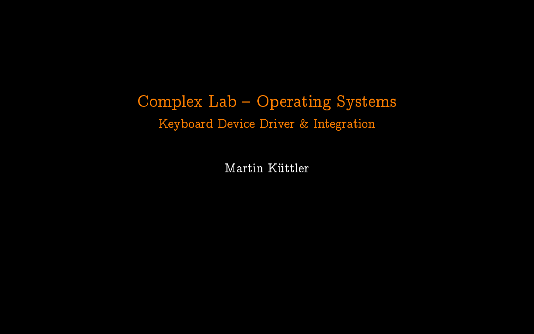# Complex Lab - Operating Systems Keyboard Device Driver & Integration

Martin Küttler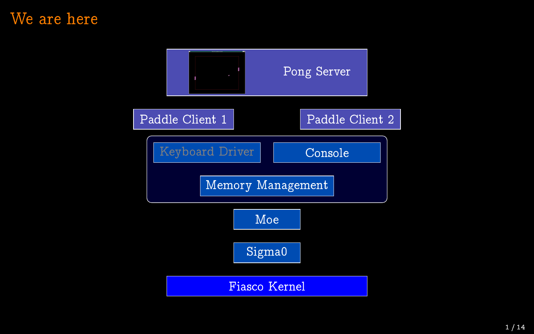#### We are here

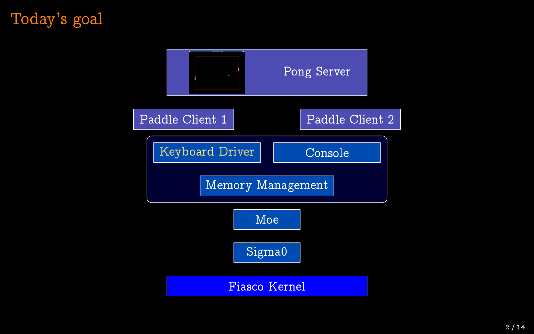# Today's goal

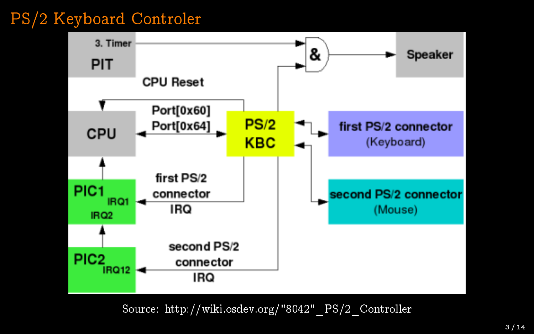# PS/2 Keyboard Controler



Source: http://wiki.osdev.org/"8042"\_PS/2\_Controller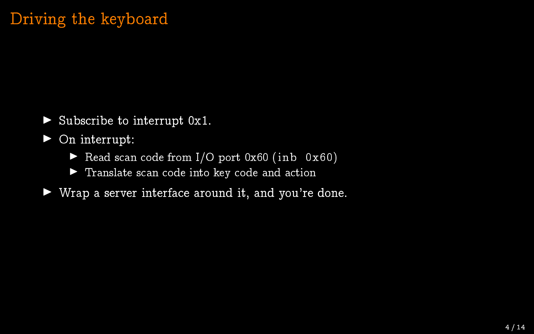## Driving the keyboard

 $\triangleright$  Subscribe to interrupt 0x1.

 $\triangleright$  On interrupt:

- Read scan code from  $I/O$  port  $0x60$  (inb  $0x60$ )
- $\blacktriangleright$  Translate scan code into key code and action
- $\blacktriangleright$  Wrap a server interface around it, and you're done.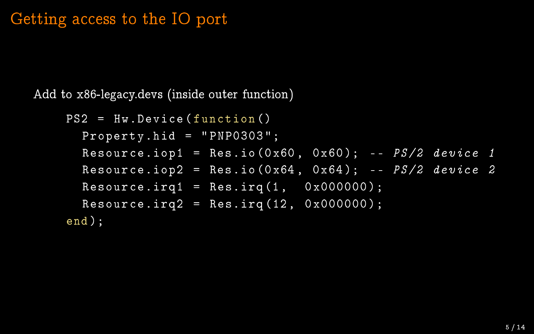#### Getting access to the IO port

Add to x86-legacy.devs (inside outer function)

```
PS2 = Hw.Device ( function ()
  Property.hid = "PNPO303";Resource.iop1 = Res.io(0x60, 0x60); -- PS/2 device 1
  Resource.iop\overline{2} = Res.io (0 \times 64, 0 \times 64); - PS/2 device 2
  Resource.inq1 = Res.inq(1, 0x000000);Resource.irq2 = Res.irq(12, 0x00000);
end );
```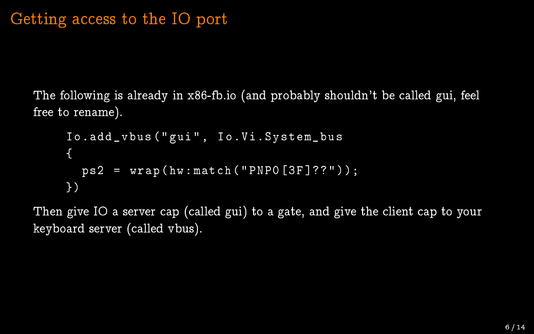The following is already in x86-fb.io (and probably shouldn't be called gui, feel free to rename).

```
Io.add_vbus ( " gui " , Io.Vi.System_bus
{
  ps2 = wrap(hw:match("PNPO[3F]??");
})
```
Then give IO a server cap (called gui) to a gate, and give the client cap to your keyboard server (called vbus).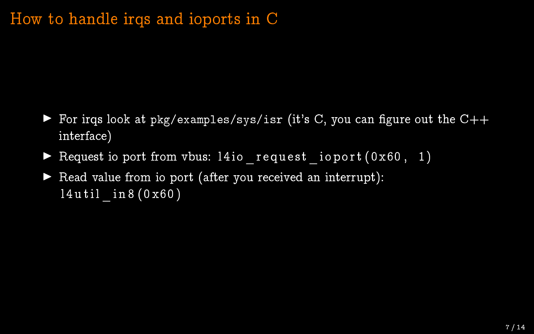#### How to handle irqs and ioports in C

- For irqs look at pkg/examples/sys/isr (it's C, you can figure out the  $C++$ interface)
- $\blacktriangleright$  Request io port from vbus: 14io request io port ( 0 x60, 1)
- $\blacktriangleright$  Read value from io port (after you received an interrupt):  $14$ util  $\frac{1}{10}$  n 8 ( 0 x 60 )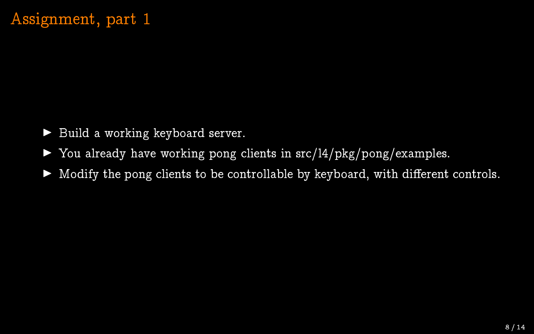# Assignment, part 1

- $\blacktriangleright$  Build a working keyboard server.
- $\triangleright$  You already have working pong clients in src/l4/pkg/pong/examples.
- $\blacktriangleright$  Modify the pong clients to be controllable by keyboard, with different controls.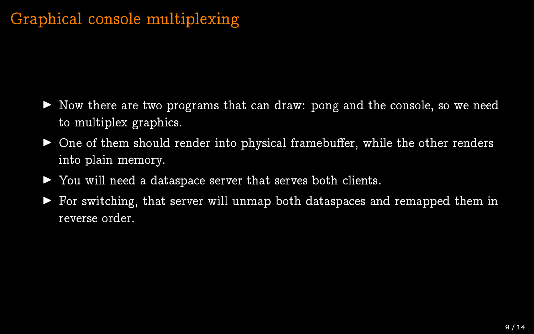- $\blacktriangleright$  Now there are two programs that can draw: pong and the console, so we need to multiplex graphics.
- $\triangleright$  One of them should render into physical framebuffer, while the other renders into plain memory.
- ▶ You will need a dataspace server that serves both clients.
- $\blacktriangleright$  For switching, that server will unmap both dataspaces and remapped them in reverse order.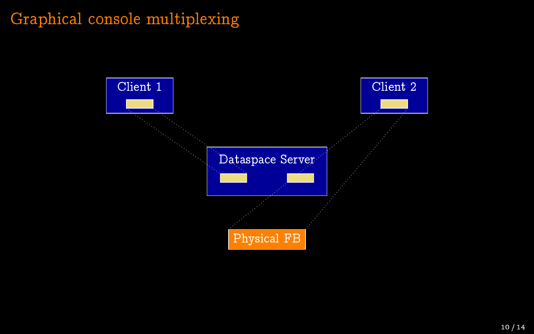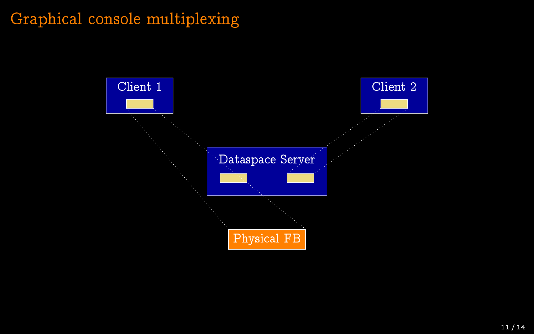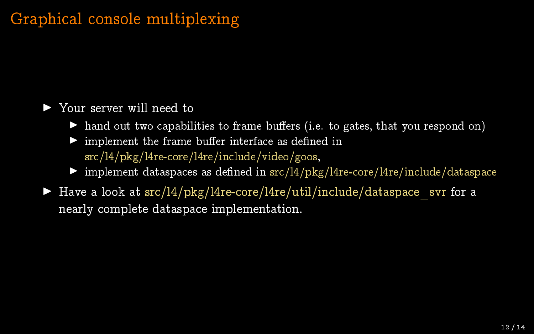#### ▶ Your server will need to

- $\blacktriangleright$  hand out two capabilities to frame buffers (i.e. to gates, that you respond on)
- $\blacktriangleright$  implement the frame buffer interface as defined in src/l4/pkg/l4re-core/l4re/include/video/goos,
- $\triangleright$  implement dataspaces as defined in src/l4/pkg/l4re-core/l4re/include/dataspace
- In Have a look at  $src/l4/pkg/l4re-core/l4re/util/include/dataspace$  svr for a nearly complete dataspace implementation.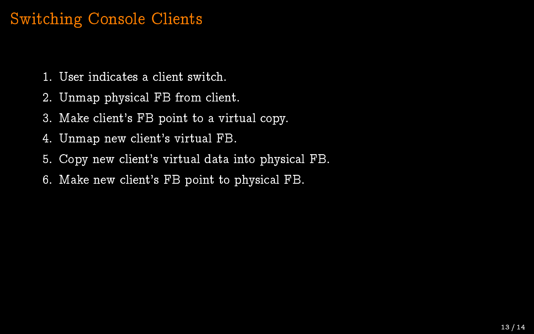#### Switching Console Clients

- 1. User indicates a client switch.
- 2. Unmap physical FB from client.
- 3. Make client's FB point to a virtual copy.
- 4. Unmap new client's virtual FB.
- 5. Copy new client's virtual data into physical FB.
- 6. Make new client's FB point to physical FB.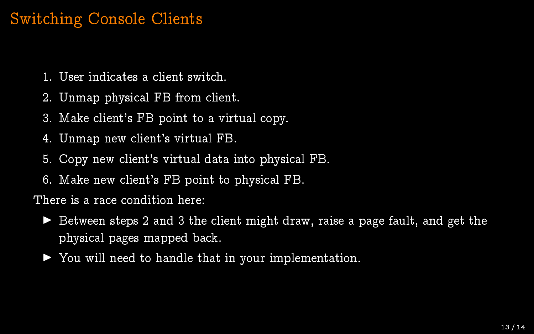#### Switching Console Clients

- 1. User indicates a client switch.
- 2. Unmap physical FB from client.
- 3. Make client's FB point to a virtual copy.
- 4. Unmap new client's virtual FB.
- 5. Copy new client's virtual data into physical FB.
- 6. Make new client's FB point to physical FB.

There is a race condition here:

- Between steps 2 and 3 the client might draw, raise a page fault, and get the physical pages mapped back.
- $\triangleright$  You will need to handle that in your implementation.